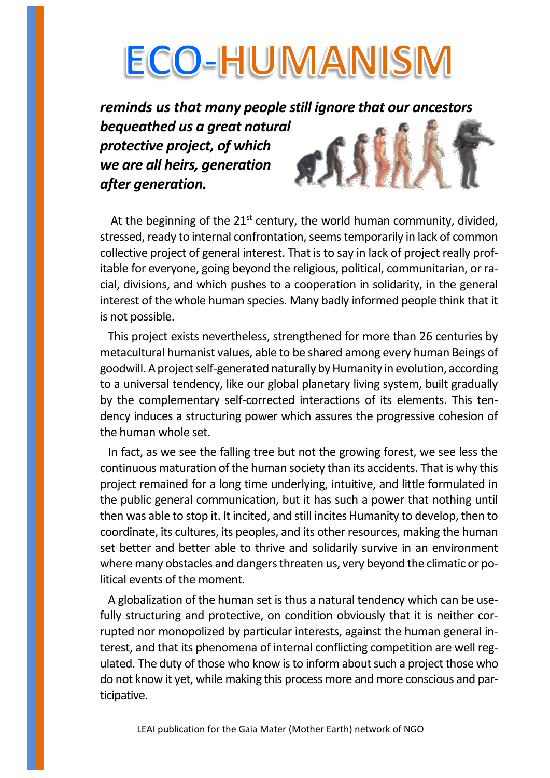# **ECO-HUMANISM**

*reminds us that many people still ignore that our ancestors bequeathed us a great natural protective project, of which we are all heirs, generation after generation.*

At the beginning of the  $21<sup>st</sup>$  century, the world human community, divided, stressed, ready to internal confrontation, seems temporarily in lack of common collective project of general interest. That is to say in lack of project really profitable for everyone, going beyond the religious, political, communitarian, or racial, divisions, and which pushes to a cooperation in solidarity, in the general interest of the whole human species. Many badly informed people think that it is not possible.

 This project exists nevertheless, strengthened for more than 26 centuries by metacultural humanist values, able to be shared among every human Beings of goodwill. A project self-generated naturally by Humanity in evolution, according to a universal tendency, like our global planetary living system, built gradually by the complementary self-corrected interactions of its elements. This tendency induces a structuring power which assures the progressive cohesion of the human whole set.

 In fact, as we see the falling tree but not the growing forest, we see less the continuous maturation of the human society than its accidents. That is why this project remained for a long time underlying, intuitive, and little formulated in the public general communication, but it has such a power that nothing until then was able to stop it. It incited, and still incites Humanity to develop, then to coordinate, its cultures, its peoples, and its other resources, making the human set better and better able to thrive and solidarily survive in an environment where many obstacles and dangers threaten us, very beyond the climatic or political events of the moment.

 A globalization of the human set is thus a natural tendency which can be usefully structuring and protective, on condition obviously that it is neither corrupted nor monopolized by particular interests, against the human general interest, and that its phenomena of internal conflicting competition are well regulated. The duty of those who know is to inform about such a project those who do not know it yet, while making this process more and more conscious and participative.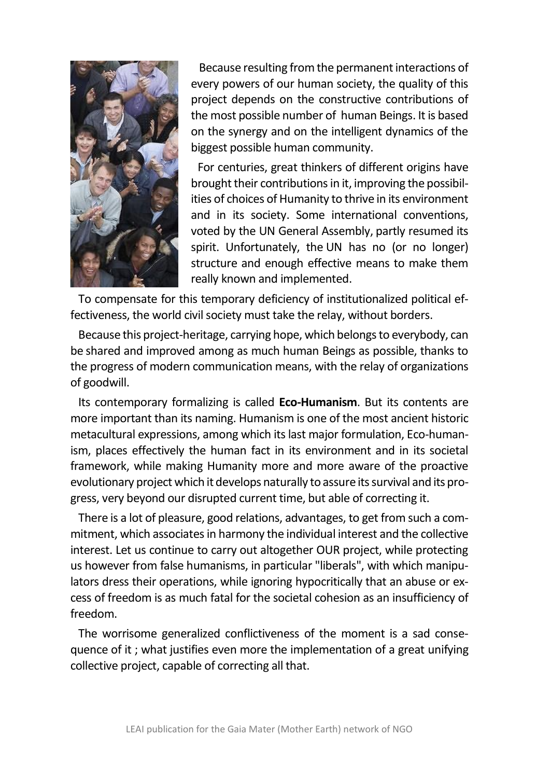

 Because resulting from the permanent interactions of every powers of our human society, the quality of this project depends on the constructive contributions of the most possible number of human Beings. It is based on the synergy and on the intelligent dynamics of the biggest possible human community.

For centuries, great thinkers of different origins have brought their contributions in it, improving the possibilities of choices of Humanity to thrive in its environment and in its society. Some international conventions, voted by the UN General Assembly, partly resumed its spirit. Unfortunately, the UN has no (or no longer) structure and enough effective means to make them really known and implemented.

 To compensate for this temporary deficiency of institutionalized political effectiveness, the world civil society must take the relay, without borders.

 Because this project-heritage, carrying hope, which belongs to everybody, can be shared and improved among as much human Beings as possible, thanks to the progress of modern communication means, with the relay of organizations of goodwill.

 Its contemporary formalizing is called **Eco-Humanism**. But its contents are more important than its naming. Humanism is one of the most ancient historic metacultural expressions, among which its last major formulation, Eco-humanism, places effectively the human fact in its environment and in its societal framework, while making Humanity more and more aware of the proactive evolutionary project which it develops naturally to assure its survival and its progress, very beyond our disrupted current time, but able of correcting it.

 There is a lot of pleasure, good relations, advantages, to get from such a commitment, which associates in harmony the individual interest and the collective interest. Let us continue to carry out altogether OUR project, while protecting us however from false humanisms, in particular "liberals", with which manipulators dress their operations, while ignoring hypocritically that an abuse or excess of freedom is as much fatal for the societal cohesion as an insufficiency of freedom.

 The worrisome generalized conflictiveness of the moment is a sad consequence of it ; what justifies even more the implementation of a great unifying collective project, capable of correcting all that.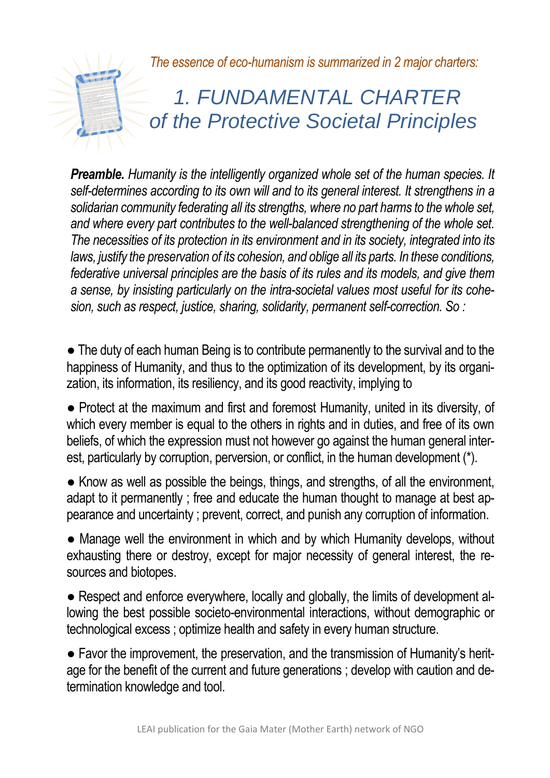*The essence of eco-humanism is summarized in 2 major charters:*

### *1. FUNDAMENTAL CHARTER of the Protective Societal Principles*

**Preamble.** Humanity is the intelligently organized whole set of the human species. It *self-determines according to its own will and to its general interest. It strengthens in a solidarian community federating all its strengths, where no part harms to the whole set, and where every part contributes to the well-balanced strengthening of the whole set. The necessities of its protection in its environment and in its society, integrated into its laws, justify the preservation of its cohesion, and oblige all its parts. In these conditions, federative universal principles are the basis of its rules and its models, and give them a sense, by insisting particularly on the intra-societal values most useful for its cohesion, such as respect, justice, sharing, solidarity, permanent self-correction. So :*

• The duty of each human Being is to contribute permanently to the survival and to the happiness of Humanity, and thus to the optimization of its development, by its organization, its information, its resiliency, and its good reactivity, implying to

● Protect at the maximum and first and foremost Humanity, united in its diversity, of which every member is equal to the others in rights and in duties, and free of its own beliefs, of which the expression must not however go against the human general interest, particularly by corruption, perversion, or conflict, in the human development (\*).

● Know as well as possible the beings, things, and strengths, of all the environment, adapt to it permanently ; free and educate the human thought to manage at best appearance and uncertainty ; prevent, correct, and punish any corruption of information.

• Manage well the environment in which and by which Humanity develops, without exhausting there or destroy, except for major necessity of general interest, the resources and biotopes.

• Respect and enforce everywhere, locally and globally, the limits of development allowing the best possible societo-environmental interactions, without demographic or technological excess ; optimize health and safety in every human structure.

● Favor the improvement, the preservation, and the transmission of Humanity's heritage for the benefit of the current and future generations ; develop with caution and determination knowledge and tool.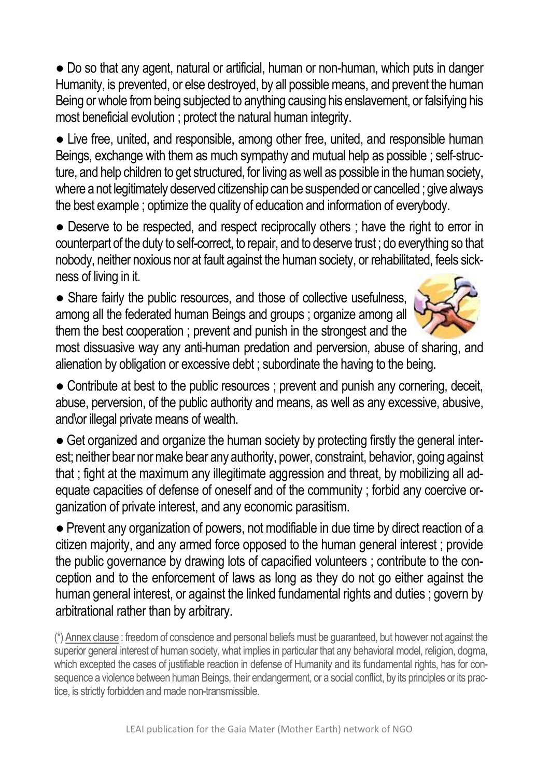● Do so that any agent, natural or artificial, human or non-human, which puts in danger Humanity, is prevented, or else destroyed, by all possible means, and prevent the human Being or whole from being subjected to anything causing his enslavement, or falsifying his most beneficial evolution ; protect the natural human integrity.

• Live free, united, and responsible, among other free, united, and responsible human Beings, exchange with them as much sympathy and mutual help as possible ; self-structure, and help children to get structured, for living as well as possible in the human society, where a not legitimately deserved citizenship can be suspended or cancelled ; give always the best example ; optimize the quality of education and information of everybody.

● Deserve to be respected, and respect reciprocally others ; have the right to error in counterpart of the duty to self-correct, to repair, and to deserve trust ; do everything so that nobody, neither noxious nor at fault against the human society, or rehabilitated, feels sickness of living in it.

• Share fairly the public resources, and those of collective usefulness, among all the federated human Beings and groups ; organize among all them the best cooperation ; prevent and punish in the strongest and the



most dissuasive way any anti-human predation and perversion, abuse of sharing, and alienation by obligation or excessive debt ; subordinate the having to the being.

• Contribute at best to the public resources ; prevent and punish any cornering, deceit, abuse, perversion, of the public authority and means, as well as any excessive, abusive, and\or illegal private means of wealth.

• Get organized and organize the human society by protecting firstly the general interest; neither bear nor make bear any authority, power, constraint, behavior, going against that : fight at the maximum any illegitimate aggression and threat, by mobilizing all adequate capacities of defense of oneself and of the community ; forbid any coercive organization of private interest, and any economic parasitism.

• Prevent any organization of powers, not modifiable in due time by direct reaction of a citizen majority, and any armed force opposed to the human general interest ; provide the public governance by drawing lots of capacified volunteers ; contribute to the conception and to the enforcement of laws as long as they do not go either against the human general interest, or against the linked fundamental rights and duties ; govern by arbitrational rather than by arbitrary.

 (\*) Annex clause : freedom of conscience and personal beliefs must be guaranteed, but however not against the superior general interest of human society, what implies in particular that any behavioral model, religion, dogma, which excepted the cases of justifiable reaction in defense of Humanity and its fundamental rights, has for consequence a violence between human Beings, their endangerment, or a social conflict, by its principles or its practice, is strictly forbidden and made non-transmissible.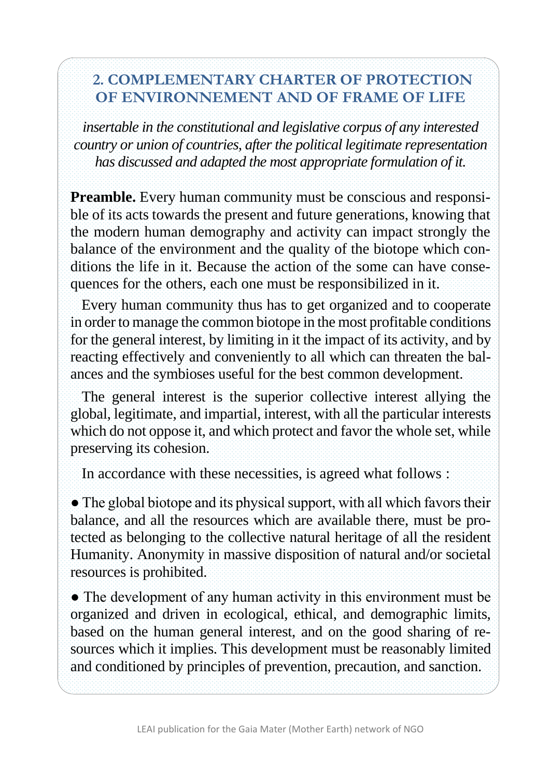#### **2. COMPLEMENTARY CHARTER OF PROTECTION OF ENVIRONNEMENT AND OF FRAME OF LIFE**

*insertable in the constitutional and legislative corpus of any interested country or union of countries, after the political legitimate representation has discussed and adapted the most appropriate formulation of it.*

**Preamble.** Every human community must be conscious and responsible of its acts towards the present and future generations, knowing that the modern human demography and activity can impact strongly the balance of the environment and the quality of the biotope which conditions the life in it. Because the action of the some can have consequences for the others, each one must be responsibilized in it.

 Every human community thus has to get organized and to cooperate in order to manage the common biotope in the most profitable conditions for the general interest, by limiting in it the impact of its activity, and by reacting effectively and conveniently to all which can threaten the balances and the symbioses useful for the best common development.

 The general interest is the superior collective interest allying the global, legitimate, and impartial, interest, with all the particular interests which do not oppose it, and which protect and favor the whole set, while preserving its cohesion.

In accordance with these necessities, is agreed what follows :

• The global biotope and its physical support, with all which favors their balance, and all the resources which are available there, must be protected as belonging to the collective natural heritage of all the resident Humanity. Anonymity in massive disposition of natural and/or societal resources is prohibited.

• The development of any human activity in this environment must be organized and driven in ecological, ethical, and demographic limits, based on the human general interest, and on the good sharing of resources which it implies. This development must be reasonably limited and conditioned by principles of prevention, precaution, and sanction.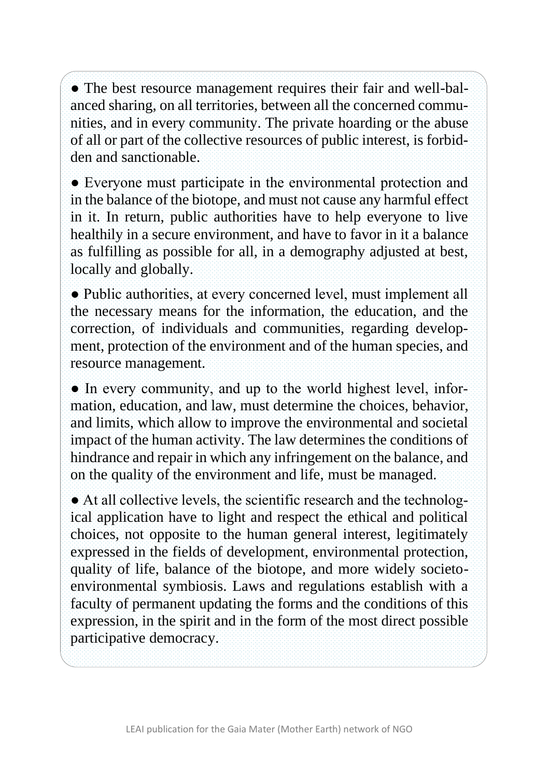• The best resource management requires their fair and well-balanced sharing, on all territories, between all the concerned communities, and in every community. The private hoarding or the abuse of all or part of the collective resources of public interest, is forbidden and sanctionable.

● Everyone must participate in the environmental protection and in the balance of the biotope, and must not cause any harmful effect in it. In return, public authorities have to help everyone to live healthily in a secure environment, and have to favor in it a balance as fulfilling as possible for all, in a demography adjusted at best, locally and globally.

● Public authorities, at every concerned level, must implement all the necessary means for the information, the education, and the correction, of individuals and communities, regarding development, protection of the environment and of the human species, and resource management.

• In every community, and up to the world highest level, information, education, and law, must determine the choices, behavior, and limits, which allow to improve the environmental and societal impact of the human activity. The law determines the conditions of hindrance and repair in which any infringement on the balance, and on the quality of the environment and life, must be managed.

● At all collective levels, the scientific research and the technological application have to light and respect the ethical and political choices, not opposite to the human general interest, legitimately expressed in the fields of development, environmental protection, quality of life, balance of the biotope, and more widely societoenvironmental symbiosis. Laws and regulations establish with a faculty of permanent updating the forms and the conditions of this expression, in the spirit and in the form of the most direct possible participative democracy.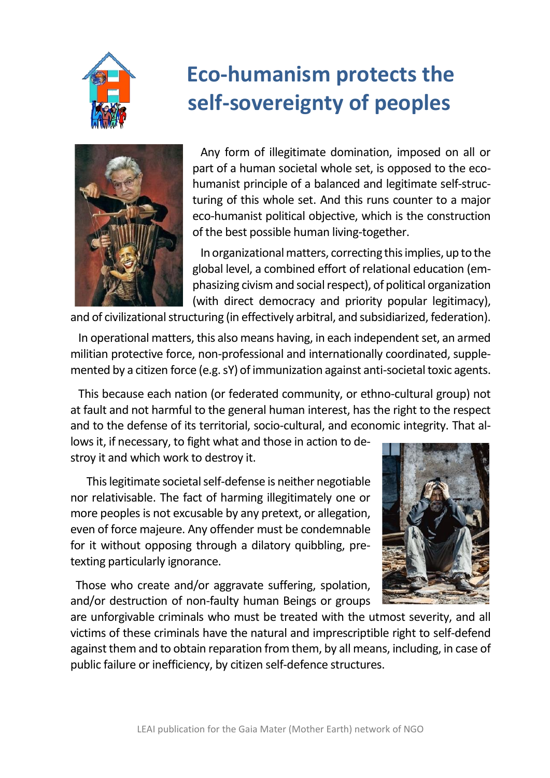

## **Eco-humanism protects the self-sovereignty of peoples**



 Any form of illegitimate domination, imposed on all or part of a human societal whole set, is opposed to the ecohumanist principle of a balanced and legitimate self-structuring of this whole set. And this runs counter to a major eco-humanist political objective, which is the construction of the best possible human living-together.

 In organizational matters, correcting this implies, up to the global level, a combined effort of relational education (emphasizing civism and social respect), of political organization (with direct democracy and priority popular legitimacy),

and of civilizational structuring (in effectively arbitral, and subsidiarized, federation).

 In operational matters, this also means having, in each independent set, an armed militian protective force, non-professional and internationally coordinated, supplemented by a citizen force (e.g. sY) of immunization against anti-societal toxic agents.

 This because each nation (or federated community, or ethno-cultural group) not at fault and not harmful to the general human interest, has the right to the respect and to the defense of its territorial, socio-cultural, and economic integrity. That al-

lows it, if necessary, to fight what and those in action to destroy it and which work to destroy it.

 This legitimate societal self-defense is neither negotiable nor relativisable. The fact of harming illegitimately one or more peoples is not excusable by any pretext, or allegation, even of force majeure. Any offender must be condemnable for it without opposing through a dilatory quibbling, pretexting particularly ignorance.

 Those who create and/or aggravate suffering, spolation, and/or destruction of non-faulty human Beings or groups



are unforgivable criminals who must be treated with the utmost severity, and all victims of these criminals have the natural and imprescriptible right to self-defend against them and to obtain reparation from them, by all means, including, in case of public failure or inefficiency, by citizen self-defence structures.